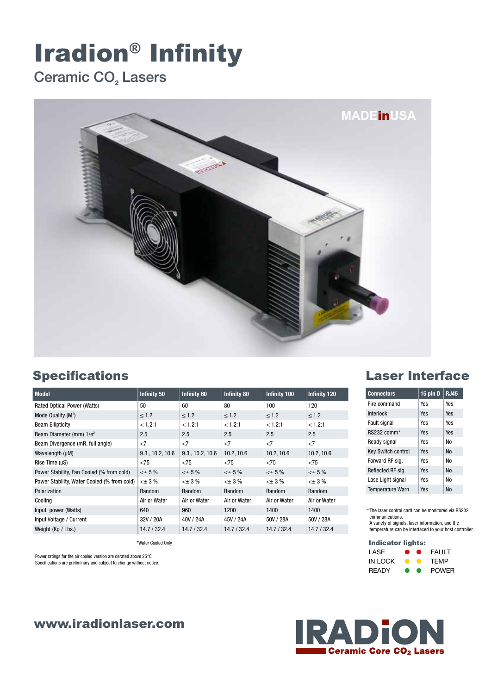# Iradion® Infinity

## Ceramic CO<sub>2</sub> Lasers



#### Specifications

| <b>Model</b>                                | <b>Infinity 50</b> | <b>Infinity 60</b> | <b>Infinity 80</b> | <b>Infinity 100</b> | <b>Infinity 120</b> |
|---------------------------------------------|--------------------|--------------------|--------------------|---------------------|---------------------|
| Rated Optical Power (Watts)                 | 50                 | 60                 | 80                 | 100                 | 120                 |
| Mode Quality $(M^2)$                        | $\leq 1.2$         | $\leq 1.2$         | $\leq 1.2$         | $\leq 1.2$          | $\leq 1.2$          |
| <b>Beam Ellipticity</b>                     | < 1.2:1            | < 1.2:1            | < 1.2:1            | < 1.2:1             | < 1.2:1             |
| Beam Diameter (mm) 1/e <sup>2</sup>         | 2.5                | 2.5                | 2.5                | 2.5                 | 2.5                 |
| Beam Divergence (mR, full angle)            | <7                 | <7                 | $<$ 7              | <7                  | <7                  |
| Wavelength (µM)                             | 9.3., 10.2, 10.6   | 9.3., 10.2, 10.6   | 10.2, 10.6         | 10.2, 10.6          | 10.2, 10.6          |
| Rise Time $(\mu S)$                         | $<$ 75             | < 75               | < 75               | < 75                | < 75                |
| Power Stability, Fan Cooled (% from cold)   | $< \pm 5 \%$       | $< \pm 5 \%$       | $< \pm 5 \%$       | $< \pm 5 \%$        | $< \pm 5 \%$        |
| Power Stability, Water Cooled (% from cold) | $\leq$ $\pm$ 3 %   | $<\pm$ 3 %         | $<\pm$ 3 %         | $<\pm$ 3 %          | $<\pm$ 3 %          |
| Polarization                                | Random             | Random             | Random             | Random              | Random              |
| Cooling                                     | Air or Water       | Air or Water       | Air or Water       | Air or Water        | Air or Water        |
| Input power (Watts)                         | 640                | 960                | 1200               | 1400                | 1400                |
| Input Voltage / Current                     | 32V / 20A          | 40V / 24A          | 45V / 24A          | 50V / 28A           | 50V / 28A           |
| Weight (Kg / Lbs.)                          | 14.7/32.4          | 14.7/32.4          | 14.7/32.4          | 14.7/32.4           | 14.7/32.4           |

\*Water Cooled Only

Power ratings for the air cooled version are derated above 25°C Specifications are preliminary and subject to change without notice.

#### www.iradionlaser.com

#### Laser Interface

| <b>Connectors</b>         | 15 pin D | <b>RJ45</b> |
|---------------------------|----------|-------------|
| Fire command              | Yes      | Yes         |
| Interlock                 | Yes      | Yes         |
| Fault signal              | Yes      | Yes         |
| $RS232$ comm*             | Yes      | Yes         |
| Ready signal              | Yes      | N٥          |
| <b>Key Switch control</b> | Yes      | Nο          |
| Forward RF sig.           | Yes      | N٥          |
| Reflected RF sig.         | Yes      | Nο          |
| Lase Light signal         | Yes      | N٥          |
| <b>Temperature Warn</b>   | Yes      | Nο          |

\* The laser control card can be monitored via RS232 communications. A variety of signals, laser information, and the

temperature can be interfaced to your host controller.

#### Indicator lights:

| LASE         |           | $\bullet$ | FAULT        |
|--------------|-----------|-----------|--------------|
| IN LOCK      |           |           | <b>TFMP</b>  |
| <b>READY</b> | $\bullet$ | $\bullet$ | <b>POWFR</b> |